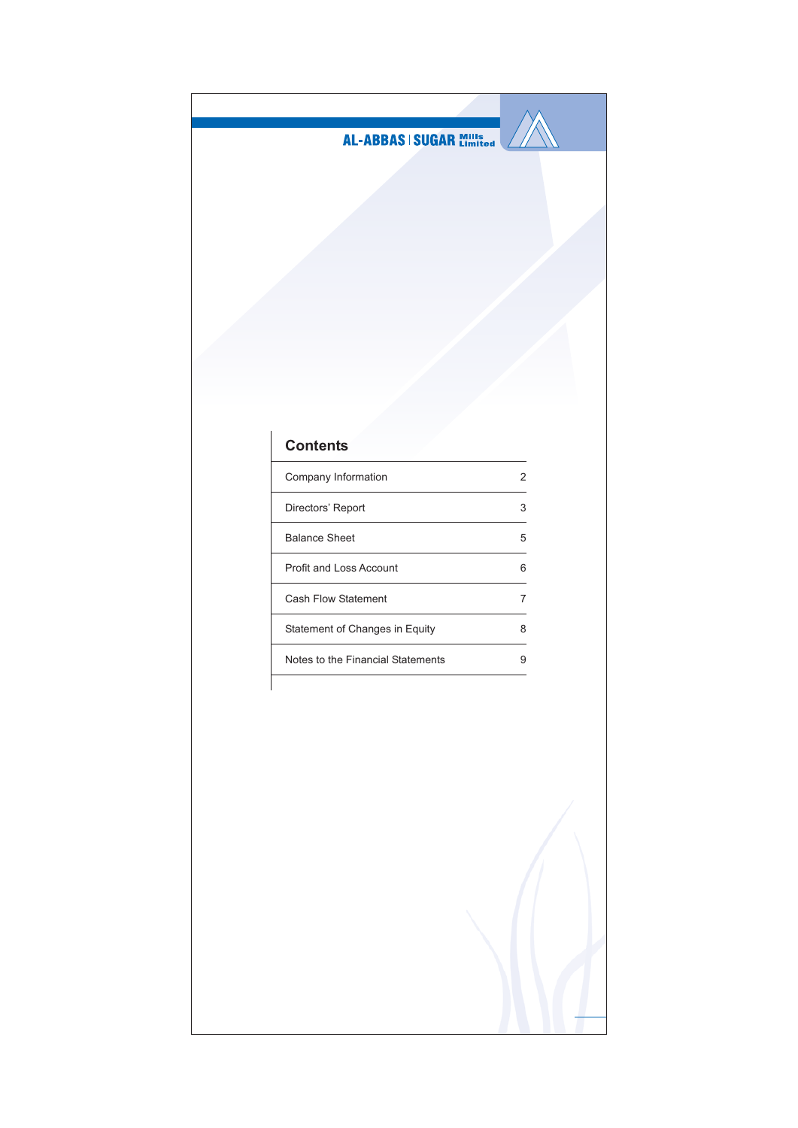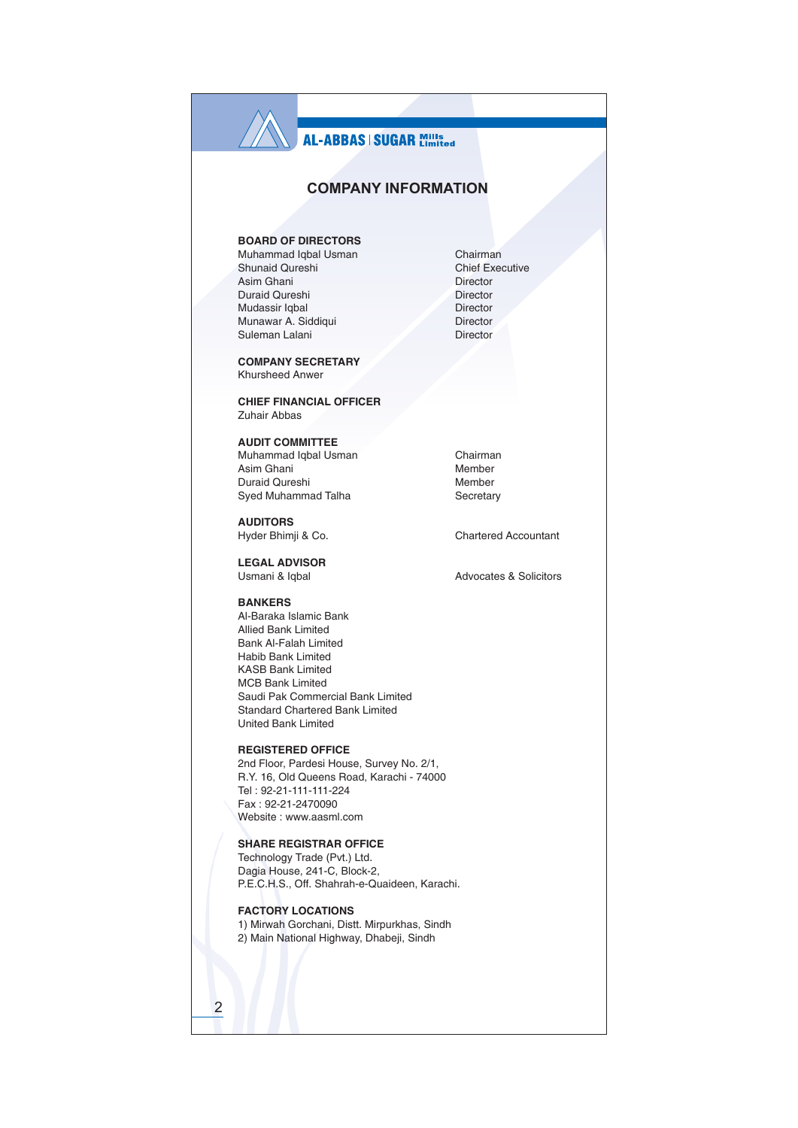## **COMPANY INFORMATION**

## **BOARD OF DIRECTORS**

Muhammad Iqbal Usman Shunaid Qureshi Asim Ghani Duraid Qureshi Mudassir Iqbal Munawar A. Siddiqui Suleman Lalani

**COMPANY SECRETARY** Khursheed Anwer

**CHIEF FINANCIAL OFFICER** Zuhair Abbas

**AUDIT COMMITTEE** 

Muhammad Iqbal Usman Asim Ghani Duraid Qureshi Syed Muhammad Talha

**AUDITORS** Hyder Bhimji & Co.

**LEGAL ADVISOR** Usmani & Igbal

## **BANKERS**

Al-Baraka Islamic Bank **Allied Bank Limited** Bank Al-Falah Limited Habib Bank I imited **KASB Bank Limited MCB Bank Limited** Saudi Pak Commercial Bank Limited Standard Chartered Bank Limited **United Bank Limited** 

## **REGISTERED OFFICE**

2nd Floor, Pardesi House, Survey No. 2/1, R.Y. 16, Old Queens Road, Karachi - 74000 Tel: 92-21-111-111-224 Fax: 92-21-2470090 Website: www.aasml.com

## **SHARE REGISTRAR OFFICE**

 $\overline{2}$ 

Technology Trade (Pvt.) Ltd. Dagia House, 241-C, Block-2, P.E.C.H.S., Off. Shahrah-e-Quaideen, Karachi.

**FACTORY LOCATIONS** 1) Mirwah Gorchani, Distt. Mirpurkhas, Sindh 2) Main National Highway, Dhabeji, Sindh

Chairman **Chief Executive** Director Director Director Director Director

Chairman Member Member Secretary

Chartered Accountant

Advocates & Solicitors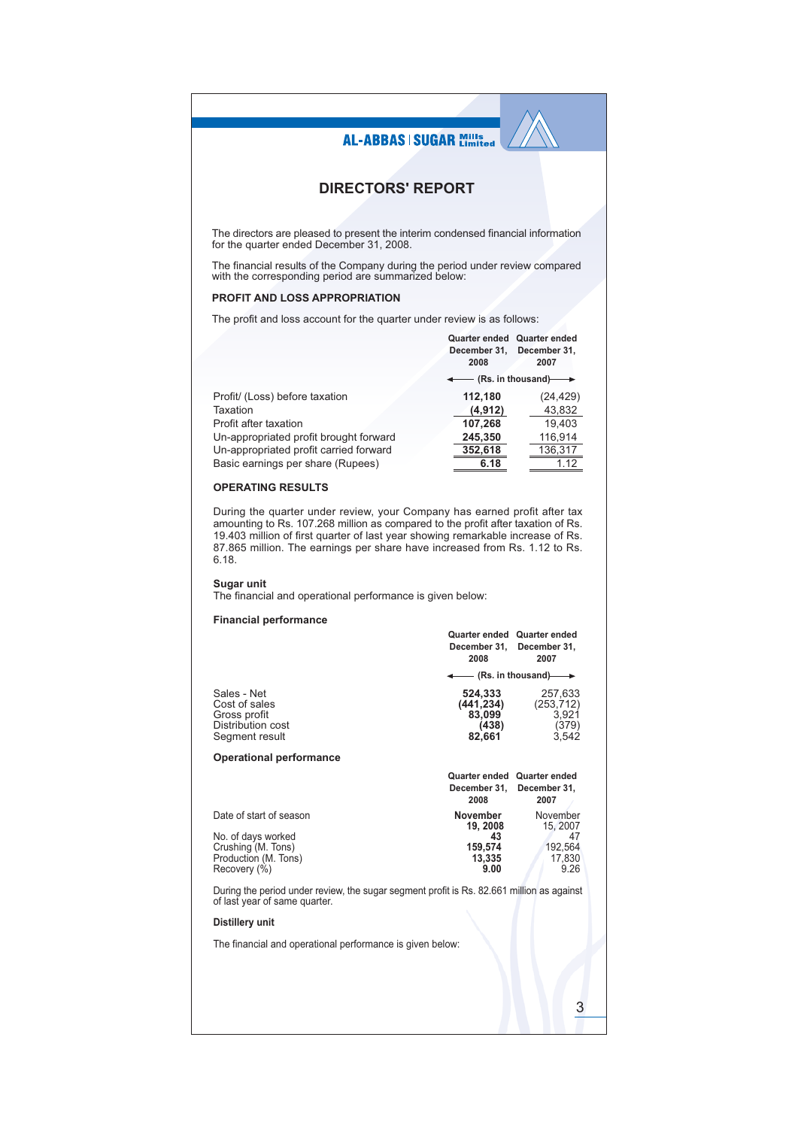## **DIRECTORS' REPORT**

The directors are pleased to present the interim condensed financial information for the quarter ended December 31, 2008.

The financial results of the Company during the period under review compared with the corresponding period are summarized below:

### PROFIT AND LOSS APPROPRIATION

The profit and loss account for the quarter under review is as follows:

|                                        | Quarter ended<br>December 31.<br>2008 | Quarter ended<br>December 31.<br>2007 |  |  |  |
|----------------------------------------|---------------------------------------|---------------------------------------|--|--|--|
|                                        | ← (Rs. in thousand)                   |                                       |  |  |  |
| Profit/ (Loss) before taxation         | 112,180                               | (24, 429)                             |  |  |  |
| Taxation                               | (4, 912)                              | 43,832                                |  |  |  |
| Profit after taxation                  | 107,268                               | 19.403                                |  |  |  |
| Un-appropriated profit brought forward | 245,350                               | 116,914                               |  |  |  |
| Un-appropriated profit carried forward | 352,618                               | 136,317                               |  |  |  |
| Basic earnings per share (Rupees)      | 6.18                                  | 112                                   |  |  |  |

## **OPERATING RESULTS**

During the quarter under review, your Company has earned profit after tax amounting to Rs. 107.268 million as compared to the profit after taxation of Rs.<br>19.403 million of first quarter of last year showing remarkable increase of Rs. 87.865 million. The earnings per share have increased from Rs. 1.12 to Rs.  $6.18.$ 

### Sugar unit

The financial and operational performance is given below:

### **Financial performance**

|                                                                                                                            | December 31.<br>2008                               | Quarter ended Quarter ended<br>December 31.<br>2007   |
|----------------------------------------------------------------------------------------------------------------------------|----------------------------------------------------|-------------------------------------------------------|
|                                                                                                                            |                                                    | $\longrightarrow$ (Rs. in thousand) $\longrightarrow$ |
| Sales - Net<br>Cost of sales<br>Gross profit<br>Distribution cost<br>Segment result                                        | 524,333<br>(441, 234)<br>83,099<br>(438)<br>82,661 | 257,633<br>(253, 712)<br>3,921<br>(379)<br>3.542      |
| <b>Operational performance</b>                                                                                             |                                                    |                                                       |
|                                                                                                                            | December 31.<br>2008                               | Quarter ended Quarter ended<br>December 31.<br>2007   |
| Date of start of season                                                                                                    | November<br>19, 2008                               | November<br>15, 2007                                  |
| No. of days worked<br>Crushing (M. Tons)<br>Production (M. Tons)<br>Recovery (%)                                           | 43<br>159.574<br>13,335<br>9.00                    | 47<br>192,564<br>17,830<br>9.26                       |
| During the period under review, the sugar segment profit is Rs. 82.661 million as against<br>of last year of same quarter. |                                                    |                                                       |
| Distillery unit                                                                                                            |                                                    |                                                       |
| The financial and operational performance is given below:                                                                  |                                                    |                                                       |
|                                                                                                                            |                                                    | 3                                                     |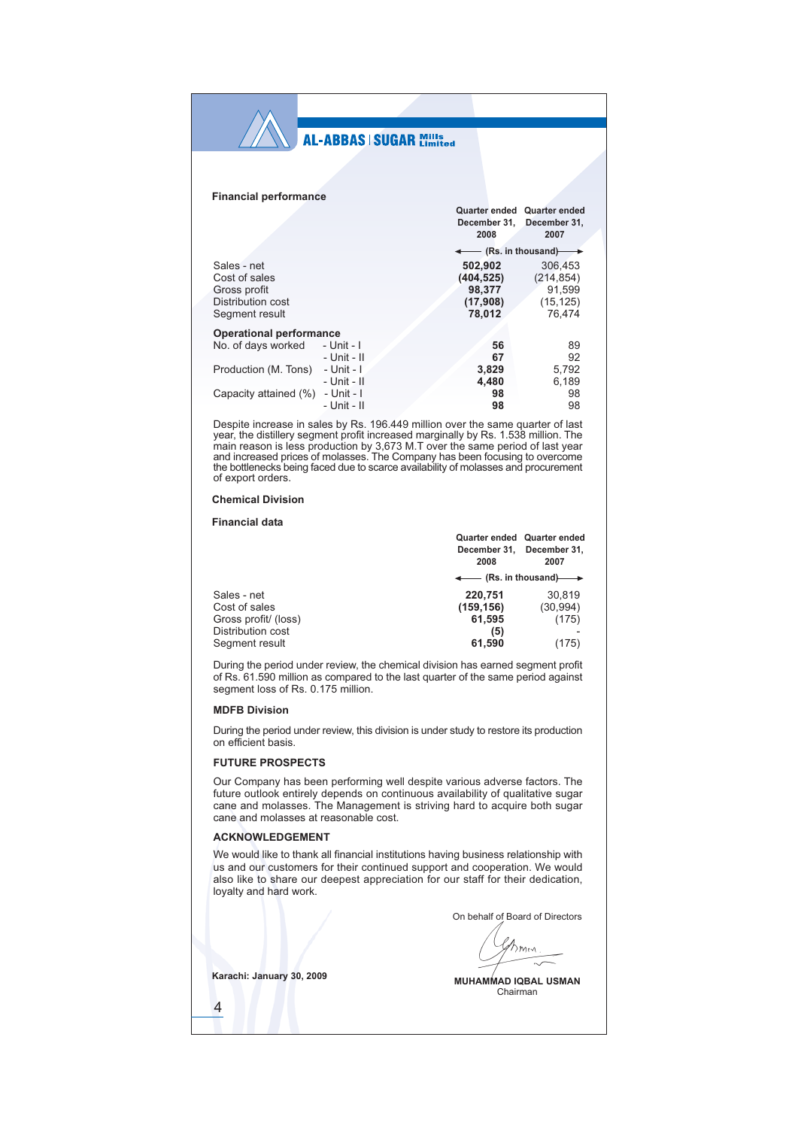| <b>Financial performance</b>        |                      |                      |
|-------------------------------------|----------------------|----------------------|
|                                     | <b>Quarter ended</b> | <b>Quarter ended</b> |
|                                     | December 31.         | December 31,         |
|                                     | 2008                 | 2007                 |
|                                     | — (Rs. in thousand)- |                      |
| Sales - net                         | 502.902              | 306.453              |
| Cost of sales                       | (404, 525)           | (214, 854)           |
| Gross profit                        | 98,377               | 91,599               |
| Distribution cost                   | (17,908)             | (15, 125)            |
| Segment result                      | 78,012               | 76.474               |
| <b>Operational performance</b>      |                      |                      |
| No. of days worked<br>- Unit - I    | 56                   | 89                   |
| - Unit - II                         | 67                   | 92                   |
| - Unit - I<br>Production (M. Tons)  | 3,829                | 5,792                |
| - Unit - II                         | 4.480                | 6,189                |
| - Unit - I<br>Capacity attained (%) | 98                   | 98                   |
| - Unit - II                         | 98                   | 98                   |

Despite increase in sales by Rs. 196.449 million over the same quarter of last year, the distillery segment profit increased marginally by Rs. 1.538 million. The Fig. 2. The same period of last year. The same period of last year<br>and increased prices of molasses. The Company has been focusing to overcome<br>the bottlenecks being faced due to scarce availability of molasses and procurem of export orders.

### **Chemical Division**

### **Financial data**

|                      | Quarter ended Quarter ended<br>December 31, December 31,<br>2008 | 2007      |
|----------------------|------------------------------------------------------------------|-----------|
|                      | $\leftarrow$ (Rs. in thousand) $\rightarrow$                     |           |
| Sales - net          | 220.751                                                          | 30.819    |
| Cost of sales        | (159, 156)                                                       | (30, 994) |
| Gross profit/ (loss) | 61.595                                                           | (175)     |
| Distribution cost    | (5)                                                              |           |
| Segment result       | 61,590                                                           | (175)     |

During the period under review, the chemical division has earned segment profit of Rs. 61.590 million as compared to the last quarter of the same period against segment loss of Rs. 0.175 million.

## **MDFB Division**

During the period under review, this division is under study to restore its production on efficient basis.

## **FUTURE PROSPECTS**

Our Company has been performing well despite various adverse factors. The future outlook entirely depends on continuous availability of qualitative sugar cane and molasses. The Management is striving hard to acquire both sugar cane and molasses at reasonable cost.

### **ACKNOWLEDGEMENT**

We would like to thank all financial institutions having business relationship with us and our customers for their continued support and cooperation. We would also like to share our deepest appreciation for our staff for their dedication, loyalty and hard work.

On behalf of Board of Directors

 $\gamma_{m}$ 

Karachi: January 30, 2009

 $\overline{4}$ 

**MUHAMMAD IQBAL USMAN** Chairman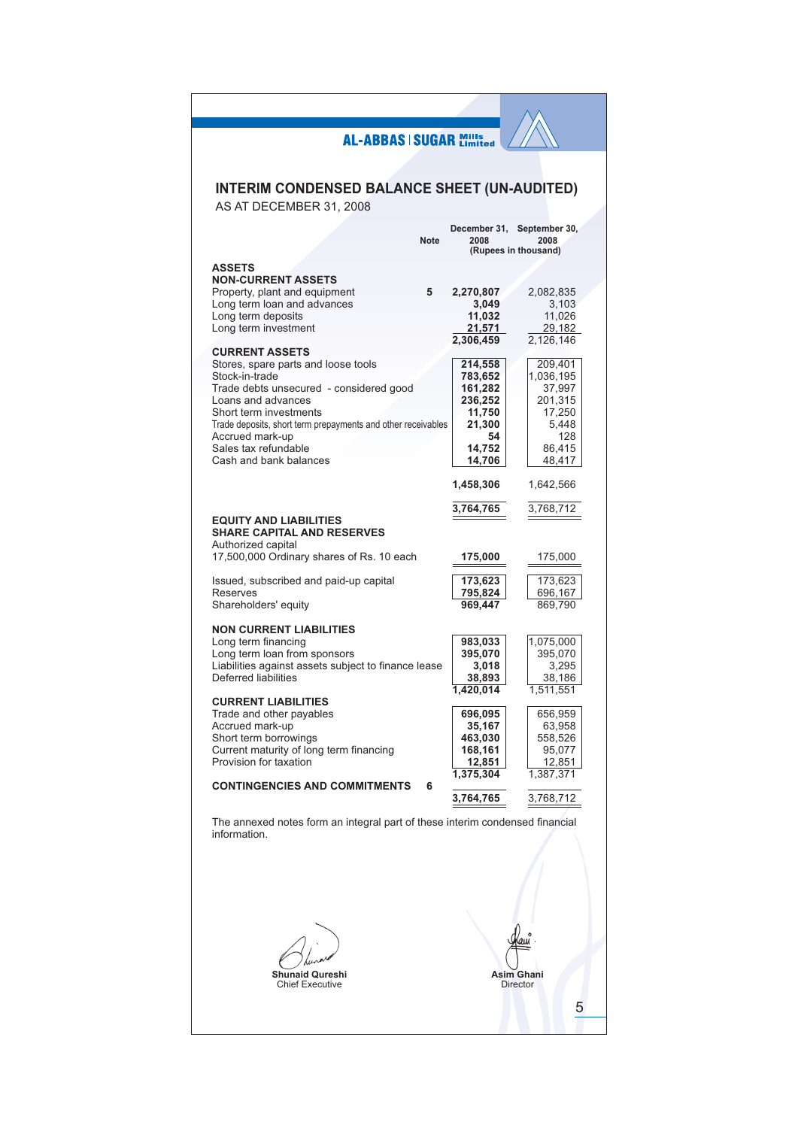# **INTERIM CONDENSED BALANCE SHEET (UN-AUDITED)**

AS AT DECEMBER 31, 2008

|                                                                                                                                                                                                                                                                                       | <b>Note</b> | 2008                                                                                   | December 31, September 30,<br>2008<br>(Rupees in thousand)                              |
|---------------------------------------------------------------------------------------------------------------------------------------------------------------------------------------------------------------------------------------------------------------------------------------|-------------|----------------------------------------------------------------------------------------|-----------------------------------------------------------------------------------------|
| <b>ASSETS</b>                                                                                                                                                                                                                                                                         |             |                                                                                        |                                                                                         |
| <b>NON-CURRENT ASSETS</b><br>Property, plant and equipment<br>Long term loan and advances<br>Long term deposits<br>Long term investment                                                                                                                                               | 5           | 2,270,807<br>3,049<br>11,032<br>21,571<br>2,306,459                                    | 2,082,835<br>3,103<br>11,026<br>29,182<br>2,126,146                                     |
| <b>CURRENT ASSETS</b>                                                                                                                                                                                                                                                                 |             |                                                                                        |                                                                                         |
| Stores, spare parts and loose tools<br>Stock-in-trade<br>Trade debts unsecured - considered good<br>Loans and advances<br>Short term investments<br>Trade deposits, short term prepayments and other receivables<br>Accrued mark-up<br>Sales tax refundable<br>Cash and bank balances |             | 214,558<br>783,652<br>161,282<br>236,252<br>11,750<br>21,300<br>54<br>14,752<br>14,706 | 209,401<br>1,036,195<br>37,997<br>201,315<br>17,250<br>5,448<br>128<br>86,415<br>48,417 |
|                                                                                                                                                                                                                                                                                       |             | 1,458,306                                                                              | 1,642,566                                                                               |
| <b>EQUITY AND LIABILITIES</b>                                                                                                                                                                                                                                                         |             | 3,764,765                                                                              | 3,768,712                                                                               |
| <b>SHARE CAPITAL AND RESERVES</b><br>Authorized capital                                                                                                                                                                                                                               |             |                                                                                        |                                                                                         |
| 17,500,000 Ordinary shares of Rs. 10 each                                                                                                                                                                                                                                             |             | 175,000                                                                                | 175,000                                                                                 |
| Issued, subscribed and paid-up capital<br>Reserves<br>Shareholders' equity                                                                                                                                                                                                            |             | 173,623<br>795,824<br>969,447                                                          | 173,623<br>696,167<br>869,790                                                           |
| <b>NON CURRENT LIABILITIES</b>                                                                                                                                                                                                                                                        |             |                                                                                        |                                                                                         |
| Long term financing<br>Long term loan from sponsors<br>Liabilities against assets subject to finance lease<br>Deferred liabilities                                                                                                                                                    |             | 983,033<br>395,070<br>3,018<br>38,893<br>1,420,014                                     | 1,075,000<br>395,070<br>3,295<br>38,186<br>1,511,551                                    |
| <b>CURRENT LIABILITIES</b>                                                                                                                                                                                                                                                            |             |                                                                                        |                                                                                         |
| Trade and other payables<br>Accrued mark-up<br>Short term borrowings<br>Current maturity of long term financing<br>Provision for taxation                                                                                                                                             |             | 696,095<br>35,167<br>463,030<br>168,161<br>12,851<br>1,375,304                         | 656,959<br>63,958<br>558,526<br>95,077<br>12,851<br>1,387,371                           |
| <b>CONTINGENCIES AND COMMITMENTS</b>                                                                                                                                                                                                                                                  | 6           | 3,764,765                                                                              | 3,768,712                                                                               |
| The annexed notes form an integral part of these interim condensed financial<br>information.                                                                                                                                                                                          |             |                                                                                        |                                                                                         |
|                                                                                                                                                                                                                                                                                       |             |                                                                                        |                                                                                         |
|                                                                                                                                                                                                                                                                                       |             |                                                                                        |                                                                                         |
|                                                                                                                                                                                                                                                                                       |             |                                                                                        |                                                                                         |
| Shunaid Qureshi<br><b>Chief Executive</b>                                                                                                                                                                                                                                             |             |                                                                                        | Asim Ghani<br>Director                                                                  |

 $\frac{5}{1}$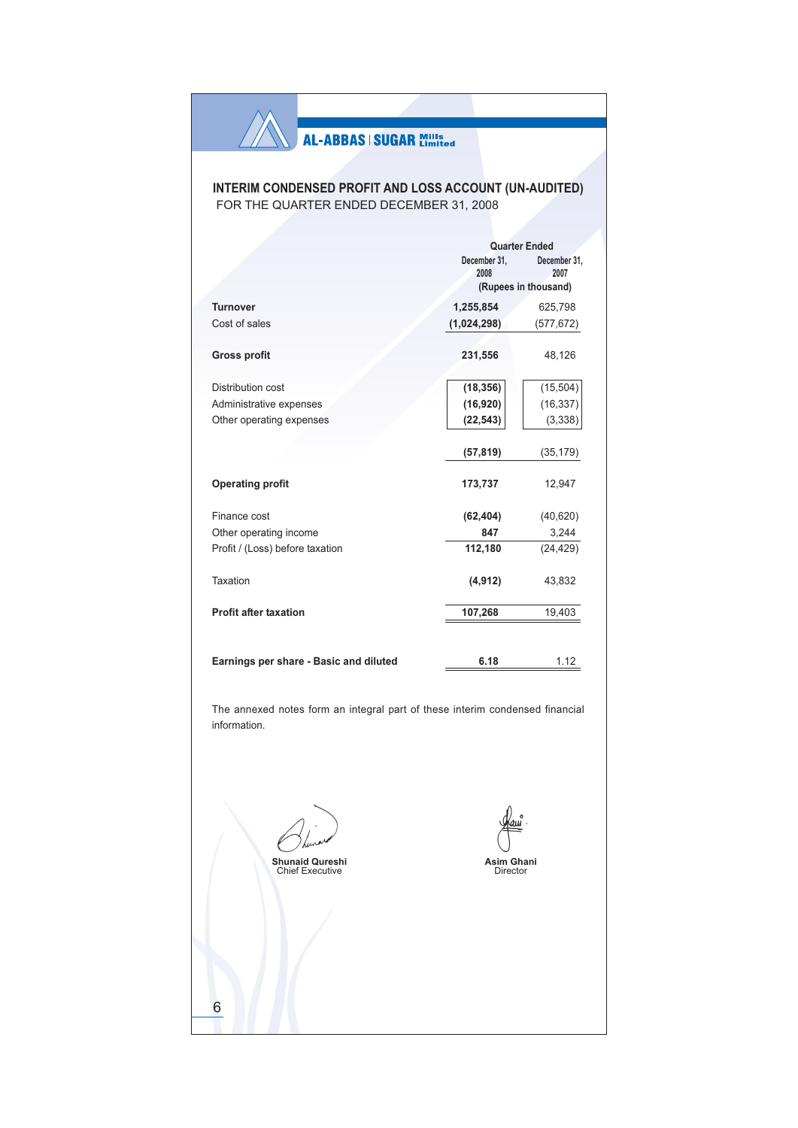## **INTERIM CONDENSED PROFIT AND LOSS ACCOUNT (UN-AUDITED)** FOR THE QUARTER ENDED DECEMBER 31, 2008

|                                        | <b>Quarter Ended</b> |                      |  |  |  |
|----------------------------------------|----------------------|----------------------|--|--|--|
|                                        | December 31,         | December 31,         |  |  |  |
|                                        | 2008                 | 2007                 |  |  |  |
|                                        |                      | (Rupees in thousand) |  |  |  |
| <b>Turnover</b>                        | 1,255,854            | 625,798              |  |  |  |
| Cost of sales                          | (1,024,298)          | (577, 672)           |  |  |  |
|                                        |                      |                      |  |  |  |
| <b>Gross profit</b>                    | 231,556              | 48,126               |  |  |  |
| Distribution cost                      | (18, 356)            | (15, 504)            |  |  |  |
| Administrative expenses                | (16, 920)            | (16, 337)            |  |  |  |
| Other operating expenses               | (22, 543)            | (3, 338)             |  |  |  |
|                                        |                      |                      |  |  |  |
|                                        | (57, 819)            | (35, 179)            |  |  |  |
| <b>Operating profit</b>                | 173,737              | 12,947               |  |  |  |
| Finance cost                           | (62, 404)            | (40, 620)            |  |  |  |
| Other operating income                 | 847                  | 3,244                |  |  |  |
| Profit / (Loss) before taxation        | 112,180              | (24, 429)            |  |  |  |
| Taxation                               | (4, 912)             | 43,832               |  |  |  |
| <b>Profit after taxation</b>           | 107,268              | 19,403               |  |  |  |
|                                        |                      |                      |  |  |  |
| Earnings per share - Basic and diluted | 6.18                 | 1.12                 |  |  |  |
|                                        |                      |                      |  |  |  |

The annexed notes form an integral part of these interim condensed financial information.

Shunaid Qureshi<br>Chief Executive

 $6\phantom{1}6$ 

Asim Ghani<br>Director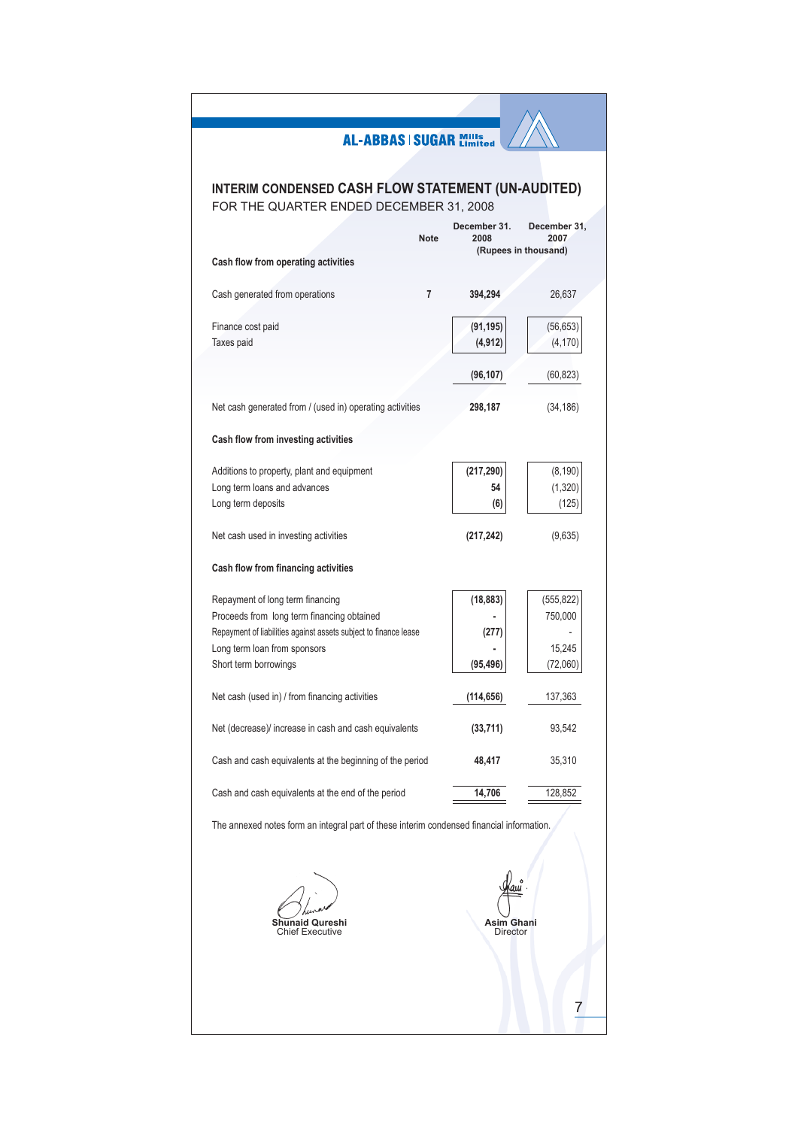## INTERIM CONDENSED CASH FLOW STATEMENT (UN-AUDITED) FOR THE QUARTER ENDED DECEMBER 31, 2008

|                                                                                                                                                    | <b>Note</b> | December 31.<br>2008    | December 31,<br>2007<br>(Rupees in thousand) |
|----------------------------------------------------------------------------------------------------------------------------------------------------|-------------|-------------------------|----------------------------------------------|
| Cash flow from operating activities                                                                                                                |             |                         |                                              |
| Cash generated from operations                                                                                                                     | 7           | 394,294                 | 26,637                                       |
| Finance cost paid<br>Taxes paid                                                                                                                    |             | (91, 195)<br>(4, 912)   | (56, 653)<br>(4, 170)                        |
|                                                                                                                                                    |             | (96, 107)               | (60,823)                                     |
| Net cash generated from / (used in) operating activities                                                                                           |             | 298,187                 | (34, 186)                                    |
| Cash flow from investing activities                                                                                                                |             |                         |                                              |
| Additions to property, plant and equipment<br>Long term loans and advances<br>Long term deposits                                                   |             | (217, 290)<br>54<br>(6) | (8, 190)<br>(1, 320)<br>(125)                |
| Net cash used in investing activities                                                                                                              |             | (217, 242)              | (9,635)                                      |
| Cash flow from financing activities                                                                                                                |             |                         |                                              |
| Repayment of long term financing<br>Proceeds from long term financing obtained<br>Repayment of liabilities against assets subject to finance lease |             | (18, 883)<br>(277)      | (555, 822)<br>750,000                        |
| Long term loan from sponsors<br>Short term borrowings                                                                                              |             | (95,496)                | 15,245<br>(72,060)                           |
| Net cash (used in) / from financing activities                                                                                                     |             | (114,656)               | 137,363                                      |
| Net (decrease)/ increase in cash and cash equivalents                                                                                              |             | (33, 711)               | 93,542                                       |
| Cash and cash equivalents at the beginning of the period                                                                                           |             | 48,417                  | 35,310                                       |
| Cash and cash equivalents at the end of the period                                                                                                 |             | 14,706                  | 128,852                                      |
| The annexed notes form an integral part of these interim condensed financial information.                                                          |             |                         |                                              |
| iaid Qureshi<br><b>Chief Executive</b>                                                                                                             |             | Asim Ghani<br>Director  |                                              |

 $\overline{7}$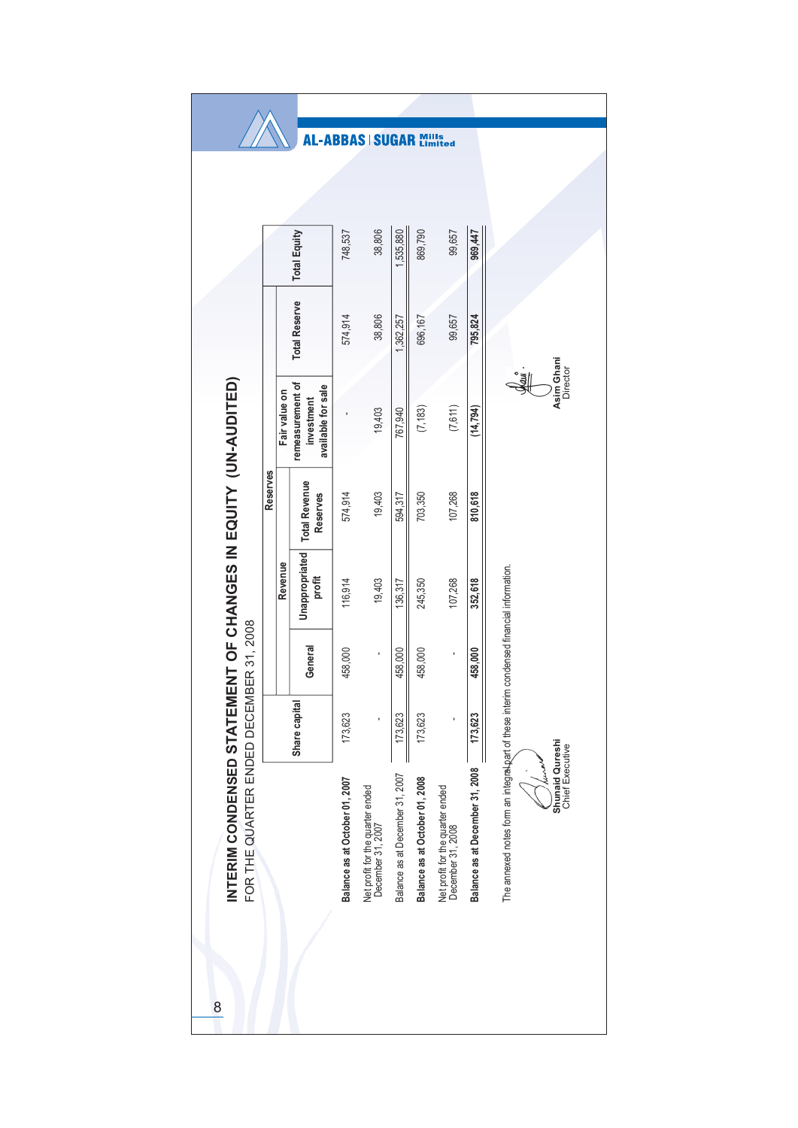|                 |               | <b>Total Equity</b>                                  | 748,537                        | 38,806                                                | 1,535,880                       | 869,790                        | 99,657                                                | 969,447                         |                                                                                                            |
|-----------------|---------------|------------------------------------------------------|--------------------------------|-------------------------------------------------------|---------------------------------|--------------------------------|-------------------------------------------------------|---------------------------------|------------------------------------------------------------------------------------------------------------|
|                 |               | <b>Total Reserve</b>                                 | 574,914                        | 38,806                                                | 1,362,257                       | 696,167                        | 99,657                                                | 795,824                         |                                                                                                            |
|                 | Fair value on | remeasurement of<br>available for sale<br>investment |                                | 19,403                                                | 767,940                         | (7, 183)                       | (7, 611)                                              | (14, 794)                       | lau<br>Nau                                                                                                 |
| <b>Reserves</b> |               | <b>Total Revenue</b><br><b>Reserves</b>              | 574,914                        | 19,403                                                | 594,317                         | 703,350                        | 107,268                                               | 810,618                         |                                                                                                            |
|                 | Revenue       | Unappropriated<br>profit                             | 116,914                        | 19,403                                                | 136,317                         | 245,350                        | 107,268                                               | 352,618                         |                                                                                                            |
|                 |               | General                                              | 458,000                        |                                                       | 458,000                         | 458,000                        |                                                       | 458,000                         |                                                                                                            |
|                 |               | Share capital                                        | 173,623                        |                                                       | 173,623                         | 173,623                        |                                                       | 173,623                         |                                                                                                            |
|                 |               |                                                      | Balance as at October 01, 2007 | Net profit for the quarter ended<br>December 31, 2007 | Balance as at December 31, 2007 | Balance as at October 01, 2008 | Net profit for the quarter ended<br>December 31, 2008 | Balance as at December 31, 2008 | The annexed notes form an integral part of these interim condensed financial information.<br>بملاستمايلا ا |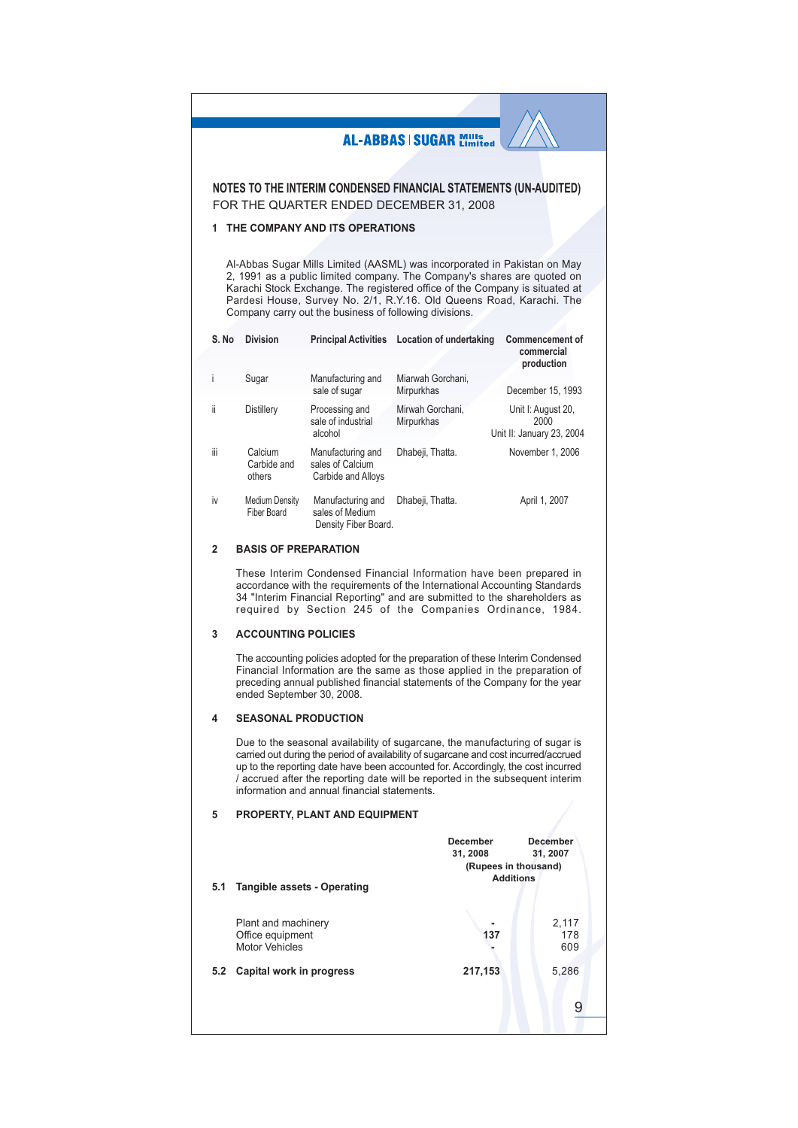## NOTES TO THE INTERIM CONDENSED FINANCIAL STATEMENTS (UN-AUDITED) FOR THE QUARTER ENDED DECEMBER 31, 2008

## 1 THE COMPANY AND ITS OPERATIONS

Al-Abbas Sugar Mills Limited (AASML) was incorporated in Pakistan on May 2, 1991 as a public limited company. The Company's shares are quoted on Karachi Stock Exchange. The registered office of the Company is situated at Pardesi House, Survey No. 2/1, R.Y.16. Old Queens Road, Karachi. The Company carry out the business of following divisions.

| S. No | <b>Division</b>                      | <b>Principal Activities</b>                                  | Location of undertaking         | <b>Commencement of</b><br>commercial<br>production      |
|-------|--------------------------------------|--------------------------------------------------------------|---------------------------------|---------------------------------------------------------|
|       | Sugar                                | Manufacturing and<br>sale of sugar                           | Miarwah Gorchani.<br>Mirpurkhas | December 15, 1993                                       |
| ii    | Distillery                           | Processing and<br>sale of industrial<br>alcohol              | Mirwah Gorchani.<br>Mirpurkhas  | Unit I: August 20,<br>2000<br>Unit II: January 23, 2004 |
| iii   | Calcium<br>Carbide and<br>others     | Manufacturing and<br>sales of Calcium<br>Carbide and Alloys  | Dhabeji, Thatta.                | November 1, 2006                                        |
| iv    | <b>Medium Density</b><br>Fiber Board | Manufacturing and<br>sales of Medium<br>Density Fiber Board. | Dhabeji, Thatta.                | April 1, 2007                                           |

#### **BASIS OF PREPARATION**  $\overline{\phantom{a}}$

These Interim Condensed Financial Information have been prepared in accordance with the requirements of the International Accounting Standards 34 "Interim Financial Reporting" and are submitted to the shareholders as required by Section 245 of the Companies Ordinance, 1984.

#### **ACCOUNTING POLICIES**  $\mathbf{z}$

The accounting policies adopted for the preparation of these Interim Condensed Financial Information are the same as those applied in the preparation of preceding annual published financial statements of the Company for the year ended September 30, 2008.

#### **SEASONAL PRODUCTION**  $\Delta$

Due to the seasonal availability of sugarcane, the manufacturing of sugar is carried out during the period of availability of sugarcane and cost incurred/accrued up to the reporting date have been accounted for. Accordingly, the cost incurred / accrued after the reporting date will be reported in the subsequent interim information and annual financial statements.

#### PROPERTY, PLANT AND EQUIPMENT 5

| 5.1 | <b>Tangible assets - Operating</b>                        | <b>December</b><br>31, 2008 | <b>December</b><br>31, 2007<br>(Rupees in thousand)<br><b>Additions</b> |  |  |
|-----|-----------------------------------------------------------|-----------------------------|-------------------------------------------------------------------------|--|--|
|     | Plant and machinery<br>Office equipment<br>Motor Vehicles | ۰<br>137                    | 2,117<br>178<br>609                                                     |  |  |
|     | 5.2 Capital work in progress                              | 217,153                     | 5,286                                                                   |  |  |
|     |                                                           |                             | g                                                                       |  |  |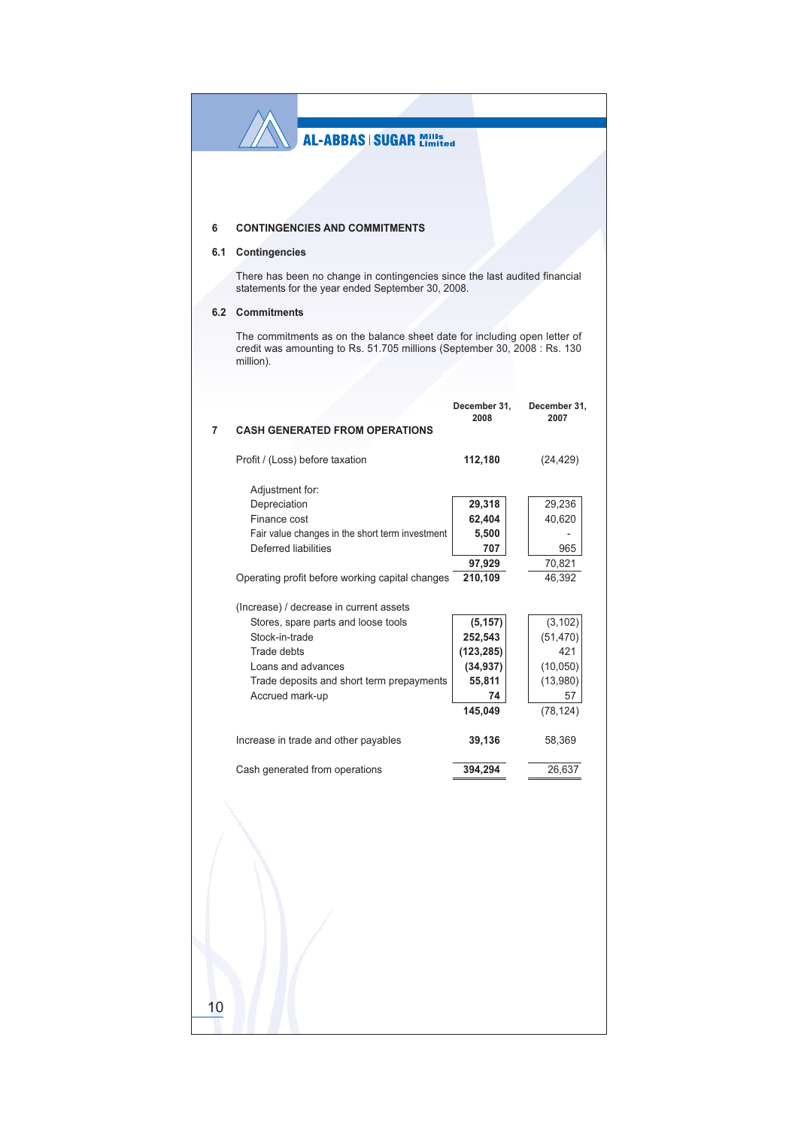#### **CONTINGENCIES AND COMMITMENTS**  $\,$  6  $\,$

## 6.1 Contingencies

There has been no change in contingencies since the last audited financial statements for the year ended September 30, 2008.

## 6.2 Commitments

The commitments as on the balance sheet date for including open letter of credit was amounting to Rs. 51.705 millions (September 30, 2008 : Rs. 130  $million)$ .

|                                                 | December 31,<br>2008 | December 31,<br>2007 |
|-------------------------------------------------|----------------------|----------------------|
| <b>CASH GENERATED FROM OPERATIONS</b><br>7      |                      |                      |
| Profit / (Loss) before taxation                 | 112,180              | (24, 429)            |
| Adjustment for:                                 |                      |                      |
| Depreciation                                    | 29,318               | 29,236               |
| Finance cost                                    | 62,404               | 40,620               |
| Fair value changes in the short term investment | 5,500                |                      |
| <b>Deferred liabilities</b>                     | 707                  | 965                  |
|                                                 | 97,929               | 70,821               |
| Operating profit before working capital changes | 210,109              | 46,392               |
| (Increase) / decrease in current assets         |                      |                      |
| Stores, spare parts and loose tools             | (5, 157)             | (3, 102)             |
| Stock-in-trade                                  | 252,543              | (51, 470)            |
| Trade debts                                     | (123, 285)           | 421                  |
| Loans and advances                              | (34, 937)            | (10,050)             |
| Trade deposits and short term prepayments       | 55,811               | (13,980)             |
| Accrued mark-up                                 | 74                   | 57                   |
|                                                 | 145,049              | (78, 124)            |
| Increase in trade and other payables            | 39,136               | 58,369               |
| Cash generated from operations                  | 394,294              | 26,637               |
| 10                                              |                      |                      |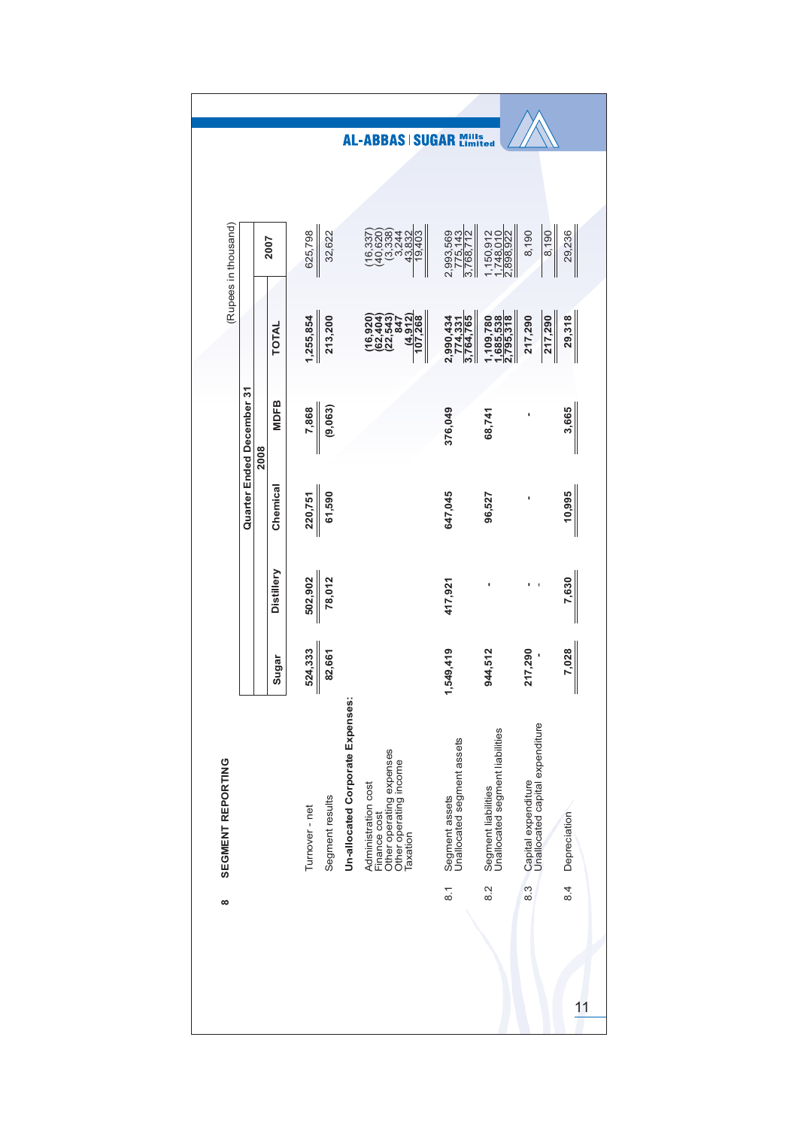|                               |                           |      |            |                |                 |                                  | <b>AL-ABBAS   SUGAR</b>                                                                                                                                                                                                                                                                | <b>Mills</b><br>Limit                                            |                                                                            |                                                                         |                               |
|-------------------------------|---------------------------|------|------------|----------------|-----------------|----------------------------------|----------------------------------------------------------------------------------------------------------------------------------------------------------------------------------------------------------------------------------------------------------------------------------------|------------------------------------------------------------------|----------------------------------------------------------------------------|-------------------------------------------------------------------------|-------------------------------|
|                               |                           |      |            |                |                 |                                  |                                                                                                                                                                                                                                                                                        |                                                                  |                                                                            |                                                                         |                               |
| (Rupees in thousand)          |                           | 2007 |            | 625,798        | 32,622          |                                  | $\begin{array}{c} (16,337)\\ (40,3384)\\ (40,3344)\\ (5,3344)\\ (6,3344)\\ (7,334)\\ (8,334)\\ (9,403)\\ (10,334)\\ (10,334)\\ (11,334)\\ (12,334)\\ (13,334)\\ (14,334)\\ (15,334)\\ (16,334)\\ (17,334)\\ (18,334)\\ (19,334)\\ (19,334)\\ (19,334)\\ (19,334)\\ (19,334)\\ (19,334$ | 2,993,569<br>775,143<br>3,768,712                                | $\frac{1,150,912}{2,898,922}$                                              | 8,190<br>8,190                                                          | 29,236                        |
|                               |                           |      | TOTAL      | 1,255,854      | 213,200         |                                  | $\frac{(4,912)}{107,268}$<br>$(16, 920)$<br>$(62, 404)$<br>$(22, 543)$<br>$847$                                                                                                                                                                                                        | 2,990,434<br>774,331<br>3,764,765                                | 1,109,780<br>1,685,538<br>2,795,318                                        | 217,290<br>217,290                                                      | 29,318                        |
|                               | Quarter Ended December 31 | 2008 | MDFB       | 7,868          | (9,063)         |                                  |                                                                                                                                                                                                                                                                                        | 376,049                                                          | 68,741                                                                     |                                                                         | 3,665                         |
|                               |                           |      | Chemical   | 220,751        | 61,590          |                                  |                                                                                                                                                                                                                                                                                        | 647,045                                                          | 96,527                                                                     |                                                                         | 10,995                        |
|                               |                           |      | Distillery | 502,902        | 78,012          |                                  |                                                                                                                                                                                                                                                                                        | 417,921                                                          |                                                                            |                                                                         | 7,630                         |
|                               |                           |      | Sugar      | 524,333        | 82,661          |                                  |                                                                                                                                                                                                                                                                                        | 1,549,419                                                        | 944,512                                                                    | 217,290                                                                 | 7,028                         |
| SEGMENT REPORTING<br>$\infty$ |                           |      |            | Turnover - net | Segment results | Un-allocated Corporate Expenses: | Other operating expenses<br>Other operating income<br>Administration cost<br>Finance cost<br>Taxation                                                                                                                                                                                  | Segment assets<br>Unallocated segment assets<br>$\overline{8}$ . | Segment liabilities<br>Unallocated segment liabilities<br>$\overline{8.2}$ | Unallocated capital expenditure<br>Capital expenditure<br>$\frac{3}{8}$ | Depreciation<br>$\frac{4}{3}$ |
|                               |                           |      |            |                |                 |                                  |                                                                                                                                                                                                                                                                                        |                                                                  |                                                                            |                                                                         | 11                            |